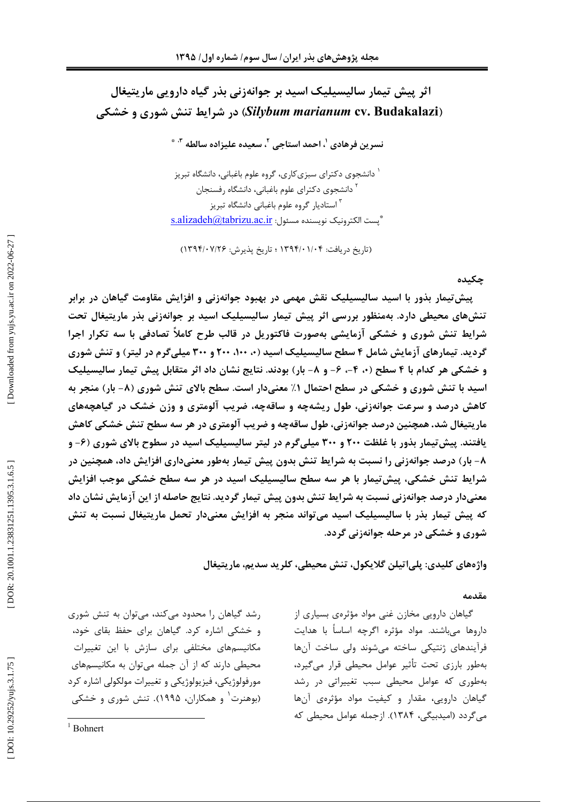# اثر پیش تیمار سالیسیلیک اسید بر جوانهزنی بذر گیاه دارویی ماریتیغال (Silybum marianum cv. Budakalazi) در شرایط تنش شوری و خشکی

نسرين فرهادي <sup>י</sup>، احمد استاجي <sup>۲</sup>، سعيده عليزاده سالطه <sup>۳، \*</sup>

ٔ دانشجوی دکترای سبزیکاری، گروه علوم باغبانی، دانشگاه تبریز <sup>۲</sup> دانشجوی دکترای علوم باغبانی، دانشگاه رفسنجان <sup>۳</sup> استادیا<sub>د</sub> گروه علوم باغبانی دانشگاه تبریز \* بست الكترونيك نويسنده مسئول: s.alizadeh@tabrizu.ac.ir

(تاریخ دریافت: ۱۳۹۴/۰۱/۰۴ ؛ تاریخ پذیرش: ۱۳۹۴/۰۷/۲۶)

### جكىدە

پیش تیمار بذور با اسید سالیسیلیک نقش مهمی در بهبود جوانهزنی و افزایش مقاومت گیاهان در برابر تنشهای محیطی دارد. بهمنظور بررسی اثر پیش تیمار سالیسیلیک اسید بر جوانهزنی بذر ماریتیغال تحت شرایط تنش شوری و خشکی آزمایشی بهصورت فاکتوریل در قالب طرح کاملاً تصادفی با سه تکرار اجرا گردید. تیمارهای آزمایش شامل ۴ سطح سالیسیلیک اسید (۰، ۱۰۰، ۲۰۰ و ۳۰۰ میلی گرم در لیتر) و تنش شوری و خشکی هر کدام با ۴ سطح (۰، ۴–، ۶– و ۸– بار) بودند. نتایج نشان داد اثر متقابل پیش تیمار سالیسیلیک اسید با تنش شوری و خشکی در سطح احتمال ۱٪ معنیدار است. سطح بالای تنش شوری (۸- بار) منجر به کاهش درصد و سرعت جوانهزنی، طول ریشهچه و ساقهچه، ضریب آلومتری و وزن خشک در گیاهچههای ماریتیغال شد. همچنین درصد جوانهزنی، طول ساقهچه و ضریب آلومتری در هر سه سطح تنش خشکی کاهش یافتند. پیش تیمار بذور با غلظت ۲۰۰ و ۳۰۰ میلی گرم در لیتر سالیسیلیک اسید در سطوح بالای شوری (۶- و ۸- بار) درصد جوانهزنی را نسبت به شرایط تنش بدون پیش تیمار بهطور معنیداری افزایش داد، همچنین در شرایط تنش خشکی، پیش تیمار با هر سه سطح سالیسیلیک اسید در هر سه سطح خشکی موجب افزایش معنیدار درصد جوانهزنی نسبت به شرایط تنش بدون پیش تیمار گردید. نتایج حاصله از این آزمایش نشان داد که پیش تیمار بذر با سالیسیلیک اسید می تواند منجر به افزایش معنیدار تحمل ماریتیغال نسبت به تنش شوري و خشکې در مرحله جوانهزنې گردد.

واژەهاي كليدي: پلي|تيلن گلايكول، تنش محيطي، كلريد سديم، ماريتيغال

### مقدمه

گیاهان دارویی مخازن غنی مواد مؤثرهی بسیاری از داروها میباشند. مواد مؤثره اگرچه اساساً با هدایت فرآیندهای ژنتیکی ساخته میشوند ولی ساخت آنها بەطور بارزى تحت تأثير عوامل محيطى قرار مى گيرد، بهطوری که عوامل محیطی سبب تغییراتی در رشد گیاهان دارویی، مقدار و کیفیت مواد مؤثرهی آنها می گردد (امیدبیگی، ۱۳۸۴). ازجمله عوامل محیطی که

رشد گیاهان را محدود می کند، می توان به تنش شوری و خشکی اشاره کرد. گیاهان برای حفظ بقای خود، مکانیسمهای مختلفی برای سازش با این تغییرات محیطی دارند که از آن جمله می توان به مکانیسمهای مورفولوژیکی، فیزیولوژیکی و تغییرات مولکولی اشاره کرد (بوهنرت و همکاران، ۱۹۹۵). تنش شوری و خشکی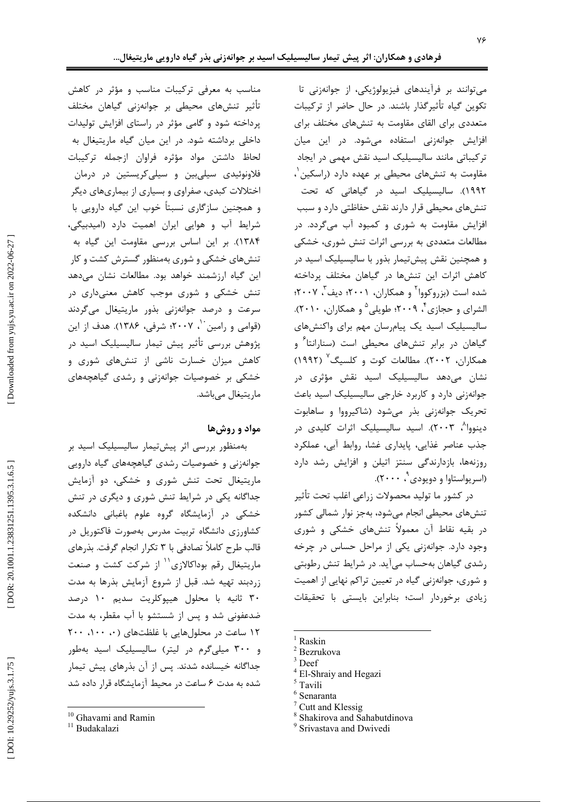می توانند بر فرآیندهای فیزیولوژیکی، از جوانهزنی تا تکوین گیاه تأثیرگذار باشند. در حال حاضر از ترکیبات متعددی برای القای مقاومت به تنشهای مختلف برای افزایش جوانهزنی استفاده میشود. در این میان ترکیباتی مانند سالیسیلیک اسید نقش مهمی در ایجاد مقاومت به تنشهای محیطی بر عهده دارد (راسکین<sup>۱</sup>، ۱۹۹۲). سالیسیلیک اسید در گیاهانی که تحت تنشهای محیطی قرار دارند نقش حفاظتی دارد و سبب افزایش مقاومت به شوری و کمبود آب میگردد. در مطالعات متعددی به بررسی اثرات تنش شوری، خشکی و همچنین نقش پیشتیمار بذور با سالیسیلیک اسید در کاهش اثرات این تنشها در گیاهان مختلف پرداخته شده است (بزروکووا<sup>۲</sup> و همکاران، ۲۰۰۱؛ دیف ۲۰۰۷؛ الشراي و حجازي *۴* ۲۰۰۹؛ طويلي <sup>۵</sup> و همكاران، ۲۰۱۰). سالیسیلیک اسید یک پیام رسان مهم برای واکنشهای گیاهان در برابر تنشهای محیطی است (سنارانتا<sup>۶</sup> و همکاران، ۲۰۰۲). مطالعات کوت و کلسیگ<sup>۷</sup> (۱۹۹۲) نشان میدهد سالیسیلیک اسید نقش مؤثری در جوانهزنی دارد و کاربرد خارجی سالیسیلیک اسید باعث تحریک جوانهزنی بذر می شود (شاکیرووا و ساهابوت دینووا<sup>۸</sup>، ۲۰۰۳). اسید سالیسیلیک اثرات کلیدی در جذب عناصر غذایی، پایداری غشا، روابط آبی، عملکرد روزنهها، بازدارندگی سنتز اتیلن و افزایش رشد دارد (اسریواستاوا و دویودی، ۲۰۰۰).

در كشور ما توليد محصولات زراعي اغلب تحت تأثير تنشهای محیطی انجام میشود، بهجز نوار شمالی کشور در بقیه نقاط آن معمولاً تنشهای خشکی و شوری وجود دارد. جوانهزنی یکی از مراحل حساس در چرخه رشدی گیاهان بهحساب میآید. در شرایط تنش رطوبتی و شوری، جوانهزنی گیاه در تعیین تراکم نهایی از اهمیت زیادی برخوردار است؛ بنابراین بایستی با تحقیقات

- Raskin
- <sup>2</sup> Bezrukova
- $3$  Deef
- <sup>4</sup> El-Shraiy and Hegazi
- $^5$  Tavili
- Senaranta
- Cutt and Klessig
- <sup>8</sup> Shakirova and Sahabutdinova
- <sup>9</sup> Srivastava and Dwivedi

مناسب به معرفی ترکیبات مناسب و مؤثر در کاهش تأثیر تنشهای محیطی بر جوانهزنی گیاهان مختلف پرداخته شود و گامی مؤثر در راستای افزایش تولیدات داخلی برداشته شود. در این میان گیاه ماریتیغال به لحاظ داشتن مواد مؤثره فراوان ازجمله تركيبات فلاونوئیدی سیلیبین و سیلی کریستین در درمان اختلالات کبدی، صفراوی و بسیاری از بیماریهای دیگر و همچنین سازگاری نسبتاً خوب این گیاه دارویی با شرایط آب و هوایی ایران اهمیت دارد (امیدبیگی، ١٣٨۴). بر اين اساس بررسي مقاومت اين گياه به تنشهای خشکی و شوری بهمنظور گسترش کشت و کار این گیاه ارزشمند خواهد بود. مطالعات نشان میدهد تنش خشکی و شوری موجب کاهش معنیداری در سرعت و درصد جوانهزنی بذور ماریتیغال میگردند (قوامی و رامین ``، ۲۰۰۷؛ شرفی، ۱۳۸۶). هدف از این پژوهش بررسی تأثیر پیش تیمار سالیسیلیک اسید در کاهش میزان خسارت ناشی از تنش۵ای شوری و خشکی بر خصوصیات جوانهزنی و رشدی گیاهچههای ماریتیغال مے باشد.

### مواد و روشها

بەمنظور بررسى اثر پيشتيمار ساليسيليک اسيد بر جوانهزنی و خصوصیات رشدی گیاهچههای گیاه دارویی ماریتیغال تحت تنش شوری و خشکی، دو آزمایش جداگانه یکی در شرایط تنش شوری و دیگری در تنش خشکی در آزمایشگاه گروه علوم باغبانی دانشکده کشاورزی دانشگاه تربیت مدرس بهصورت فاکتوریل در قالب طرح كاملاً تصادفي با ٣ تكرار انجام گرفت. بذرهاي ماریتیغال رقم بوداکالازی<sup>۱٬</sup> از شرکت کشت و صنعت زردبند تهیه شد. قبل از شروع آزمایش بذرها به مدت ۳۰ ثانیه با محلول هیپوکلریت سدیم ۱۰ درصد ضدعفونی شد و پس از شستشو با آب مقطر، به مدت ۱۲ ساعت در محلول هایی با غلظتهای (۰، ۱۰۰، ۲۰۰ و ۳۰۰ میلی گرم در لیتر) سالیسیلیک اسید بهطور جداگانه خیسانده شدند. پس از آن بذرهای پیش تیمار شده به مدت ۶ ساعت در محیط آزمایشگاه قرار داده شد

<sup>&</sup>lt;sup>10</sup> Ghavami and Ramin

<sup>&</sup>lt;sup>11</sup> Budakalazi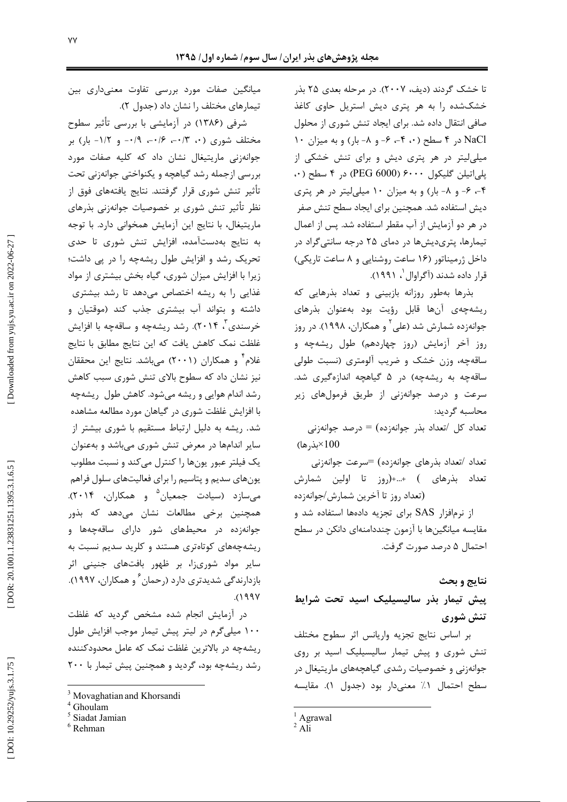تا خشک گردند (دیف، ۲۰۰۷). در مرحله بعدی ۲۵ بذر خشکشده را به هر پتری دیش استریل حاوی کاغذ صافی انتقال داده شد. برای ایجاد تنش شوری از محلول NaCl در ۴ سطح (۰۰ ۴-، ۶- و ۸- بار) و به ميزان ۱۰ میلی لیتر در هر پتری دیش و برای تنش خشکی از بلي اتيلن گليكول ۶۰۰۰ (PEG 6000) در ۴ سطح (۰۰ ۴-، ۶- و ۸- بار) و به میزان ۱۰ میلی لیتر در هر پتری دیش استفاده شد. همچنین برای ایجاد سطح تنش صفر در هر دو آزمایش از آب مقطر استفاده شد. پس از اعمال تیمارها، پتریدیشها در دمای ۲۵ درجه سانتی گراد در داخل ژرمیناتور (۱۶ ساعت روشنایی و ۸ ساعت تاریکی) قرار داده شدند (آگراوال ، ۱۹۹۱).

بذرها بهطور روزانه بازبيني و تعداد بذرهايي كه ریشهچهی آنها قابل رؤیت بود بهعنوان بذرهای جوانهزده شمارش شد (علی<sup>۲</sup> و همکاران، ۱۹۹۸). در روز روز آخر آزمایش (روز چهاردهم) طول ریشهچه و ساقهچه، وزن خشک و ضریب آلومتری (نسبت طولی ساقهچه به ریشهچه) در ۵ گیاهچه اندازهگیری شد. سرعت و درصد جوانهزنی از طریق فرمولهای زیر محاسبه گردید:

تعداد كل /تعداد بذر جوانهزده) = درصد جوانهزني  $(100 \times L \times 100)$ 

تعداد /تعداد بذرهای جوانهزده) =سرعت جوانهزنی تعداد بذرهای ) +...+(روز تا اولین شمارش (تعداد روز تا آخرین شمارش/جوانهزده از نرمافزار SAS برای تجزیه دادهها استفاده شد و مقایسه میانگینها با آزمون چنددامنهای دانکن در سطح

احتمال ۵ درصد صورت گرفت.

نتايج و بحث

ييش تيمار بذر ساليسيليک اسيد تحت شرايط تنش شوري

بر اساس نتايج تجزيه واريانس اثر سطوح مختلف تنش شوری و پیش تیمار سالیسیلیک اسید بر روی جوانهزنی و خصوصیات رشدی گیاهچههای ماریتیغال در سطح احتمال ١٪ معنى دار بود (جدول ١). مقايسه

میانگین صفات مورد بررسی تفاوت معنیداری بین تیمارهای مختلف را نشان داد (جدول ٢).

شرفی (۱۳۸۶) در آزمایشی با بررسی تأثیر سطوح مختلف شوری (۰، ۰/۳–، ۰/۴–، ۰/۹– و ۱/۲– بار) بر جوانهزنی ماریتیغال نشان داد که کلیه صفات مورد بررسی ازجمله رشد گیاهچه و یکنواختی جوانهزنی تحت تأثیر تنش شوری قرار گرفتند. نتایج یافتههای فوق از نظر تأثیر تنش شوری بر خصوصیات جوانهزنی بذرهای ماریتیغال، با نتایج این آزمایش همخوانی دارد. با توجه به نتایج بهدستآمده، افزایش تنش شوری تا حدی تحریک رشد و افزایش طول ریشهچه را در پی داشت؛ زیرا با افزایش میزان شوری، گیاه بخش بیشتری از مواد غذایی را به ریشه اختصاص میدهد تا رشد بیشتری داشته و بتواند آب بیشتری جذب کند (موقتیان و خرسندی"، ۲۰۱۴). رشد ریشهچه و ساقهچه با افزایش غلظت نمک کاهش یافت که این نتایج مطابق با نتایج غلام ٔ و همکاران (۲۰۰۱) می باشد. نتایج این محققان نیز نشان داد که سطوح بالای تنش شوری سبب کاهش رشد اندام هوایی و ریشه میشود. کاهش طول ریشهچه با افزایش غلظت شوری در گیاهان مورد مطالعه مشاهده شد. ریشه به دلیل ارتباط مستقیم با شوری بیشتر از سایر اندامها در معرض تنش شوری میباشد و بهعنوان یک فیلتر عبور یونها را کنترل میکند و نسبت مطلوب یونهای سدیم و پتاسیم را برای فعالیتهای سلول فراهم میسازد (سیادت جمعیان<sup>۵</sup> و همکاران، ۲۰۱۴). همچنین برخی مطالعات نشان میدهد که بذور جوانهزده در محیطهای شور دارای ساقهچهها و ریشه چههای کوتاهتری هستند و کلرید سدیم نسبت به سایر مواد شوریزا، بر ظهور بافتهای جنینی اثر بازدارندگی شدیدتری دارد (رحمان ٔ و همکاران، ۱۹۹۷). ۰٬۱۹۹۷

در آزمایش انجام شده مشخص گردید که غلظت ۱۰۰ میلی گرم در لیتر پیش تیمار موجب افزایش طول ریشهچه در بالاترین غلظت نمک که عامل محدودکننده رشد ریشهچه بود، گردید و همچنین پیش تیمار با ۲۰۰

<sup>&</sup>lt;sup>1</sup> Agrawal

 $2$  Ali

<sup>&</sup>lt;sup>3</sup> Movaghatian and Khorsandi

Ghoulam

<sup>&</sup>lt;sup>5</sup> Siadat Jamian

 $6$  Rehman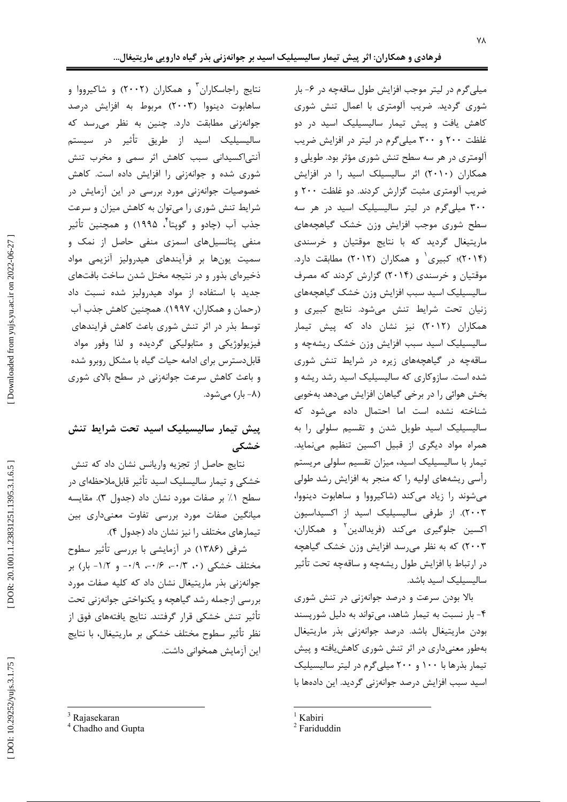میلی گرم در لیتر موجب افزایش طول ساقهچه در ۶- بار شوری گردید. ضریب آلومتری با اعمال تنش شوری کاهش یافت و پیش تیمار سالیسیلیک اسید در دو غلظت ٢٠٠ و ٣٠٠ ميلي گرم در ليتر در افزايش ضريب آلومتری در هر سه سطح تنش شوری مؤثر بود. طویلی و همکاران (۲۰۱۰) اثر سالیسیلک اسید را در افزایش ضریب آلومتری مثبت گزارش کردند. دو غلظت ۲۰۰ و ۳۰۰ میلیگرم در لیتر سالیسیلیک اسید در هر سه سطح شوري موجب افزايش وزن خشك گياهچههاي ماریتیغال گردید که با نتایج موقتیان و خرسندی (۲۰۱۴)؛ کبیری و همکاران (۲۰۱۲) مطابقت دارد. موقتیان و خرسندی (۲۰۱۴) گزارش کردند که مصرف ساليسيليك اسيد سبب افزايش وزن خشك گياهچههاي زنیان تحت شرایط تنش می شود. نتایج کبیری و همکاران (۲۰۱۲) نیز نشان داد که پیش تیمار سالیسیلیک اسید سبب افزایش وزن خشک ریشهچه و ساقهچه در گیاهچههای زیره در شرایط تنش شوری شده است. سازوکاری که سالیسیلیک اسید رشد ریشه و بخش هوائی را در برخی گیاهان افزایش میدهد بهخوبی شناخته نشده است اما احتمال داده میشود که سالیسیلیک اسید طویل شدن و تقسیم سلولی را به همراه مواد دیگری از قبیل اکسین تنظیم می نماید. تیمار با سالیسیلیک اسید، میزان تقسیم سلولی مریستم رأسی ریشههای اولیه را که منجر به افزایش رشد طولی می شوند را زیاد میکند (شاکیرووا و ساهابوت دینووا، ٢٠٠٣). از طرفي ساليسيليک اسيد از اکسيداسيون اکسین جلوگیری میکند (فریدالدین<sup>۲</sup> و همکاران، ۲۰۰۳) که به نظر می رسد افزایش وزن خشک گیاهچه در ارتباط با افزایش طول ریشهچه و ساقهچه تحت تأثیر سالیسیلیک اسید باشد.

بالا بودن سرعت و درصد جوانهزنی در تنش شوری ۴- بار نسبت به تیمار شاهد، می تواند به دلیل شورپسند بودن ماریتیغال باشد. درصد جوانهزنی بذر ماریتیغال بهطور معنیداری در اثر تنش شوری کاهش یافته و پیش تیمار بذرها با ۱۰۰ و ۲۰۰ میلی گرم در لیتر سالیسیلیک اسید سبب افزایش درصد جوانهزنی گردید. این دادهها با

نتایج راجاسکاران ٔ و همکاران (۲۰۰۲) و شاکیرووا و ساهابوت دینووا (۲۰۰۳) مربوط به افزایش درصد جوانهزنی مطابقت دارد. چنین به نظر میرسد که سالیسیلیک اسید از طریق تأثیر در سیستم آنتی|کسیدانی سبب کاهش اثر سمی و مخرب تنش شوری شده و جوانهزنی را افزایش داده است. کاهش خصوصیات جوانهزنی مورد بررسی در این آزمایش در شرایط تنش شوری را میتوان به کاهش میزان و سرعت جذب آب (چادو و گویتا<sup>۲</sup>، ۱۹۹۵) و همچنین تأثیر منفی پتانسیلهای اسمزی منفی حاصل از نمک و سمیت یونها بر فرآیندهای هیدرولیز آنزیمی مواد ذخیرهای بذور و در نتیجه مختل شدن ساخت بافتهای جدید با استفاده از مواد هیدرولیز شده نسبت داد (رحمان و همکاران، ۱۹۹۷). همچنین کاهش جذب آب توسط بذر در اثر تنش شوری باعث کاهش فرایندهای فیزیولوژیکی و متابولیکی گردیده و لذا وفور مواد قابل دسترس برای ادامه حیات گیاه با مشکل روبرو شده و باعث کاهش سرعت جوانهزنی در سطح بالای شوری (۸– بار) مے شود.

## پیش تیمار سالیسیلیک اسید تحت شرایط تنش خشکے

نتايج حاصل از تجزيه واريانس نشان داد كه تنش خشکی و تیمار سالیسلیک اسید تأثیر قابلملاحظهای در سطح ١٪ بر صفات مورد نشان داد (جدول ٣). مقايسه میانگین صفات مورد بررسی تفاوت معنیداری بین تیمارهای مختلف را نیز نشان داد (جدول ۴).

شرفی (۱۳۸۶) در آزمایشی با بررسی تأثیر سطوح مختلف خشکی (۰، ۰/۳–، ۰/۶–، ۰/۹– و ۱/۲– بار) بر جوانهزنی بذر ماریتیغال نشان داد که کلیه صفات مورد بررسی ازجمله رشد گیاهچه و یکنواختی جوانهزنی تحت تأثير تنش خشكي قرار گرفتند. نتايج يافتههاي فوق از نظر تأثير سطوح مختلف خشكي بر ماريتيغال، با نتايج این آزمایش همخوانی داشت.

 $1$  Kabiri

 $2$  Fariduddin

<sup>&</sup>lt;sup>3</sup> Rajasekaran

<sup>&</sup>lt;sup>4</sup> Chadho and Gupta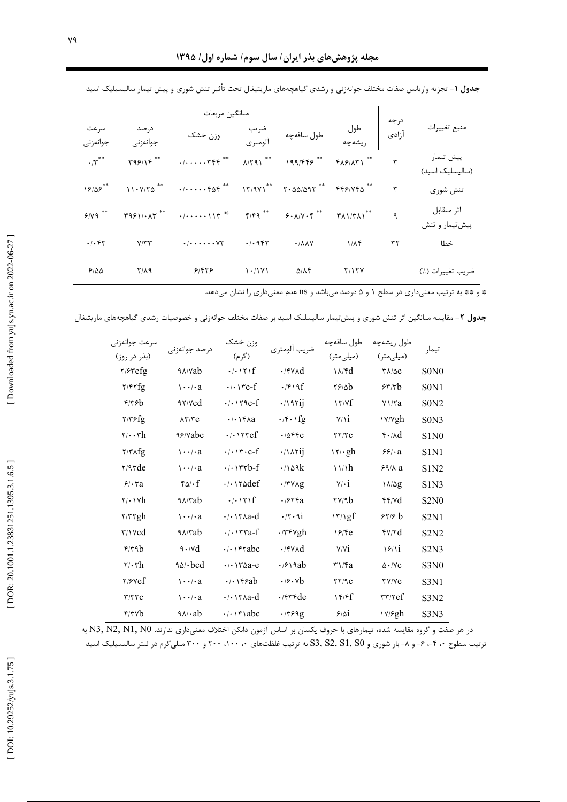| ميانگين مربعات                    |                   |                                                                                                                                               |                 |                               |               |                    |                               |  |
|-----------------------------------|-------------------|-----------------------------------------------------------------------------------------------------------------------------------------------|-----------------|-------------------------------|---------------|--------------------|-------------------------------|--|
| سرعت<br>جوانەزنى                  | در صد<br>جوانەزنى | وزن خشک                                                                                                                                       | ضريب<br>آلومتري | طول ساقەچە                    | طول<br>ریشەچە | درجه<br>۔<br>آزادی | منبع تغييرات                  |  |
| $\cdot$ / $\mathbf{y}^{\ast\ast}$ |                   | $T99/19$ ** $\cdot$ $\cdot$ $\cdot$ $\cdot$ $T99$ ** $N791$ ** $199/559$ ** $T99/571$ **                                                      |                 |                               |               | ٣                  | ييش تيمار<br>(سالىسلىک اسىد)  |  |
| 18/85                             |                   | $11.9770$ $^{**}$ $\cdot$ $/$ $\cdot \cdot \cdot \cdot$ $\cdot$ $60$ $^{**}$ $^{**}$ $17/971$ $^{**}$ $7.00/0.97$ $^{**}$ $7.50/0.97$ $^{**}$ |                 |                               |               | ٣                  | تنش شوری                      |  |
|                                   |                   | $5/99$ <sup>**</sup> $7951/1.07$ <sup>**</sup> $1.117$ <sup>ns</sup> $7/9$ <sup>**</sup> $5.1/1.6$ <sup>**</sup> $7.1/7.1$ <sup>**</sup>      |                 |                               |               | $\mathcal{A}$      | اثر متقابل<br>ييش تيمار و تنش |  |
| $\cdot$ / $\cdot$ $\uparrow$      | $Y/\tau\tau$      | $\cdot$ / $\cdot$ $\cdot$ $\cdot\cdot\cdot$ $\vee\uparrow$ $\cdot$ / $\cdot$ 9 $\uparrow\uparrow$                                             |                 | $\cdot$ / $\lambda \lambda V$ | $1/\lambda f$ | ٣٢                 | خطا                           |  |
| 9/20                              | $Y/\lambda$ 9     | ۶۱۴۲۶                                                                                                                                         | 1.11Y1          | ۵/۸۴                          | T/17V         |                    | ضريب تغييرات (٪)              |  |

جدول ۱– تجزیه واریانس صفات مختلف جوانهزنی و رشدی گیاهچههای ماریتیغال تحت تأثیر تنش شوری و پیش تیمار سالیسیلیک اسید

\* و \*\* به ترتیب معنیداری در سطح ۱ و ۵ درصد میباشد و ns عدم معنیداری را نشان میدهد.

ج**دول ۲**– مقایسه میانگین اثر تنش شوری و پیشتیمار سالیسلیک اسید بر صفات مختلف جوانهزنی و خصوصیات رشدی گیاهچههای ماریتیغال

| سرعت جوانهزنى                   | در صد جوانه; نے ِ        | وزن خشک                                                                                                                                                                                                                                                              | ضريب ألومتري                          | طول ساقەچە                          | طول ريشهچه                 | تيمار                         |
|---------------------------------|--------------------------|----------------------------------------------------------------------------------------------------------------------------------------------------------------------------------------------------------------------------------------------------------------------|---------------------------------------|-------------------------------------|----------------------------|-------------------------------|
| (بذر در روز)                    |                          | (گرم)                                                                                                                                                                                                                                                                |                                       | (میلیمتر)                           | (میلی متر)                 |                               |
| $\gamma$ / $\gamma$ efg         | <b>A</b> <sub>V</sub> ab | $\cdot$   $\cdot$   $\uparrow$   $f$                                                                                                                                                                                                                                 | $\cdot$ /۴۷۸d                         | $\lambda / \sqrt{d}$                | $\Upsilon\lambda/\Delta e$ | S <sub>0</sub> N <sub>0</sub> |
| Y/FYfg                          | $\cdots$ / $\cdot$ a     | $\cdot$ / $\cdot$ $\cdot$ rc-f                                                                                                                                                                                                                                       | $\cdot$ /۴۱۹f                         | $Yf/\Delta b$                       | 55/5                       | S <sub>0</sub> N <sub>1</sub> |
| $f$ /۳۶ $b$                     | 97/Ycd                   |                                                                                                                                                                                                                                                                      | $\cdot$ /1971]                        | $\gamma \gamma / \gamma f$          | $Y\frac{1}{4}$             | S <sub>0</sub> N <sub>2</sub> |
| $\frac{7}{76}$                  | $\lambda \tau / \tau e$  | $\cdot$ / $\cdot$ / $f$ $\wedge$ $a$                                                                                                                                                                                                                                 | $\cdot$ / f $\cdot$ / fg              | $V/\iota$                           | $\frac{y}{ygh}$            | S <sub>0</sub> N <sub>3</sub> |
| $\mathbf{y}/\cdot\mathbf{r}$ h  | ٩۶/vabc                  |                                                                                                                                                                                                                                                                      | $.10$ ۴۴c                             | $\tau\tau/\tau c$                   | $f \cdot \Delta d$         | S1N <sub>0</sub>              |
| $\frac{1}{\pi}$                 | $\cdots$ / $\cdot$ a     | $\cdot$ / $\cdot$ \r $\cdot$ c-f                                                                                                                                                                                                                                     | $\cdot$ / $\lambda$ rij               | 17/·gh                              | $59 - a$                   | S <sub>1</sub> N <sub>1</sub> |
| $\frac{7}{9}$                   | $\cdots$ / $\cdot$ a     |                                                                                                                                                                                                                                                                      | $\cdot$ /109 $k$                      | 11/h                                | 99/12                      | S1N <sub>2</sub>              |
| 9.5a                            | $f \Delta / \cdot f$     | $\cdot$ $\cdot$ $\cdot$ $\cdot$ $\cdot$ $\cdot$ $\cdot$ $\cdot$                                                                                                                                                                                                      | $\cdot$ /٣٧٨g                         | $V/\cdot i$                         | $1\lambda/\Delta g$        | S1N3                          |
| $\mathbf{y} \cdot \mathbf{y}$   | $9\lambda$ /rab          | $\cdot$ $\cdot$ $\setminus$ $\uparrow$                                                                                                                                                                                                                               | .1954a                                | $\frac{y}{4b}$                      | f f / V d                  | S2N0                          |
| $\frac{7}{76}$                  | $\cdots$ / $\cdot$ a     | $\cdot$ $\cdot$ $\cdot$ $\cdot$ $\cdot$ $\cdot$ $\cdot$ $\cdot$                                                                                                                                                                                                      | $\cdot$ /۲۰۹i                         | $\frac{17}{2}$                      | 55/6 b                     | S2N1                          |
| $\tau$ / $\vee$ $\cdots$        | $9\lambda$ $7ab$         | $\cdot$ $\cdot$ $\vee$ $\vee$ $\vee$ $\vee$ $\vee$ $\vee$ $\vee$ $\vee$ $\vee$ $\vee$ $\vee$ $\vee$ $\vee$ $\vee$ $\vee$ $\vee$ $\vee$ $\vee$ $\vee$ $\vee$ $\vee$ $\vee$ $\vee$ $\vee$ $\vee$ $\vee$ $\vee$ $\vee$ $\vee$ $\vee$ $\vee$ $\vee$ $\vee$ $\vee$ $\vee$ | $\cdot$ /۳۴۷gh                        | 19/Fe                               | fV/Td                      | S <sub>2</sub> N <sub>2</sub> |
| $f$ /۳۹ $b$                     | $9.7\%$                  |                                                                                                                                                                                                                                                                      | $\cdot$ /۴۷۸d                         | V/Vi                                | $\frac{5}{1}$              | S2N3                          |
| $\mathbf{y} \cdot \mathbf{r}$ h | 90/3                     | $\cdot$ / $\cdot$ $\vee$ $\vee$ $\triangle$ a-e                                                                                                                                                                                                                      | $\cdot$ / $\rho \setminus \text{lab}$ | $\mathbf{r} \setminus \mathbf{r}$ a | $\Delta \cdot / \text{VC}$ | S3N <sub>0</sub>              |
| Y/Yef                           | $\cdots$ / $\cdot$ a     | $\cdot$ / $\cdot$ $\cdot$ $\cdot$ $\cdot$ $\cdot$ $\cdot$ $\cdot$                                                                                                                                                                                                    | $\cdot$ / $\rho \cdot \nu b$          | $\tau\tau$ /9 $c$                   | <b>TY/Ye</b>               | S3N1                          |
| $\tau/\tau\tau c$               | $\cdots$ / $\cdot$ a     | $\cdot$ $\cdot$ $\cdot$ $\cdot$ $\cdot$ $\cdot$ $\cdot$ $\cdot$                                                                                                                                                                                                      | $\cdot$ /۴۳۴ $de$                     | 15/5f                               | $\mathsf{rr}/\mathsf{ref}$ | S3N <sub>2</sub>              |
| $\frac{f}{\gamma}$              | $9\lambda/a b$           | $\cdot$ / $\cdot$ / $\cdot$ / abc                                                                                                                                                                                                                                    | .7799g                                | 9/0i                                | $\frac{V}{g}$ h            | S3N3                          |

در هر صفت و گروه مقایسه شده، تیمارهای با حروف یکسان بر اساس آزمون دانکن اختلاف معنیداری ندارند. N3, N2, N1, N0 به ترتیب سطوح ۴۰ ۴-، ۶- و ۸- بار شوری و S3, S2, S1, S0 به ترتیب غلظتهای ۰، ۱۰۰، ۲۰۰ و ۳۰۰ میلیگرم در لیتر سالیسیلیک اسید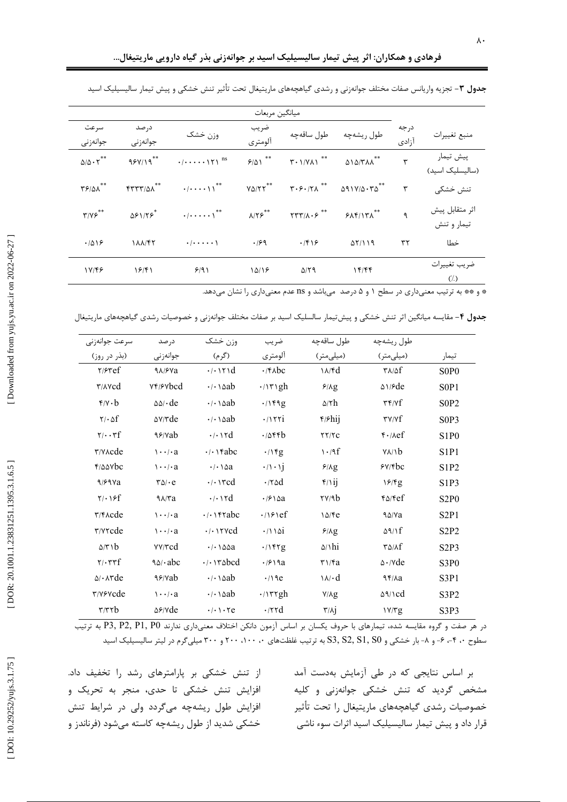| ميانگين مربعات                             |                             |                              |                        |                                                          |                                                            |               |                                            |
|--------------------------------------------|-----------------------------|------------------------------|------------------------|----------------------------------------------------------|------------------------------------------------------------|---------------|--------------------------------------------|
| سرعت<br>جوانەزنى                           | در صد<br>جوانەزنى           | وزن خشک                      | ضريب<br>آلومتري        | طول ساقەچە                                               | طول ريشەچە                                                 | درجه<br>آزادى | منبع تغييرات                               |
| $\Delta/\Delta \cdot \Upsilon^{**}$        | $95Y/19$ **                 |                              | 9/01                   | $T \cdot 1/Y \Lambda 1$ <sup>**</sup>                    | $\triangle$ \ $\triangle$ /٣ $\Lambda$ <sup>**</sup>       | ٣             | پیش تیمار<br>(سالیسلیک اسید)               |
| $\mathbf{Y}$ $\beta$ / $\Delta \lambda$ ** | $FTTT/\Delta\Lambda$ **     |                              | $Y\Delta/Y^{\ast\ast}$ | $\mathbf{r} \cdot \mathbf{r} \cdot \mathbf{r} \wedge$ ** | $\Delta$ 91Y/ $\Delta$ $\cdot$ $\tau \Delta$ <sup>**</sup> | ٣             | تنش خشکی                                   |
| $\mathbf{r}/\mathbf{v}$                    | $\Delta$ ۶۱/۲۶ <sup>*</sup> | $\cdot/\cdots\cdot$ \**      | $\lambda/\Upsilon$     | $\mathsf{TTT}/\mathsf{A}\cdot \mathsf{S}$ **             | 515/151                                                    | ٩             | اثر متقابل پیش<br>تيمار وتنش               |
| .7019                                      | 188147                      | $\cdot/\cdot\cdot\cdot\cdot$ | .199                   | .199                                                     | $\Delta Y/\Delta$                                          | ٣٢            | خطا                                        |
| 1Y/FF                                      | 19/81                       | 9/91                         | 10/18                  | $\Delta$ /٢٩                                             | ۱۴/۴۴                                                      |               | ضريب تغييرات<br>$\left(\frac{7}{2}\right)$ |

جدول ۳ – تجزیه واریانس صفات مختلف جوانهزنی و رشدی گیاهچههای ماریتیغال تحت تأثیر تنش خشکی و پیش تیمار سالیسیلیک اسید

\* و \*\* به ترتیب معنیداری در سطح ۱ و ۵ درصد میباشد و ns عدم معنیداری را نشان میدهد.

ج**دول ۴**– مقایسه میانگین اثر تنش خشکی و پیشتیمار سالسلیک اسید بر صفات مختلف جوانهزنی و خصوصیات رشدی گیاهچههای ماریتیغال

| سرعت جوانەزنى                            | در صد                              | وزن خشک                                                         | ضريب                              | طول ساقەچە                          | طول ريشەچە                                      |                               |
|------------------------------------------|------------------------------------|-----------------------------------------------------------------|-----------------------------------|-------------------------------------|-------------------------------------------------|-------------------------------|
| (بذر در روز)                             | جوانەزنى                           | (گرم)                                                           | آلومتري                           | (میلی متر)                          | (میلی متر)                                      | تيمار                         |
| Y/Fref                                   | 9A/FVa                             | $\cdot$ $\cdot$ $\cdot$ $\cdot$ $\cdot$ $\cdot$                 | $\cdot$ /۴ $\lambda$ bc           | $\lambda / \sqrt{d}$                | $\mathsf{r}\wedge\mathsf{r}$                    | S <sub>0</sub> P <sub>0</sub> |
| $\tau/\lambda \nu$ cd                    | <b>YF/SYbcd</b>                    | $\cdot$ $\cdot$ $\cdot$ $\circ$ $ab$                            | $\cdot$ /\r\gh                    | 9/Ag                                | $\Delta$ \/ $\epsilon$ de                       | SOP1                          |
| $\mathbf{f}/\mathbf{v} \cdot \mathbf{b}$ | $\Delta\Delta/\cdot$ de            | $\cdot$ $\cdot$ $\cdot$ $\circ$ $ab$                            | .1149g                            | $\Delta/\tau h$                     | $\mathbf{r} \mathbf{r} / \mathbf{v} \mathbf{f}$ | S <sub>0</sub> P <sub>2</sub> |
| $\mathbf{Y}/\cdot \Delta \mathbf{f}$     | $\Delta V/T$ de                    | $\cdot$ $\cdot$ $\cdot$ $\circ$ $ab$                            | $\cdot$ / $\overline{\tau i}$     | $f/\mathfrak{f}$ hij                | $\mathbf{r}$ $\mathbf{v}$ / $\mathbf{r}$        | S <sub>0</sub> P <sub>3</sub> |
| $\mathbf{y}/\cdot \mathbf{y}$            | 99/8ab                             | $\cdot$ $\cdot$ $\cdot$ $\cdot$ $\cdot$ $\cdot$                 | .7886                             | $\tau\tau/\tau c$                   | $f \cdot \text{Aef}$                            | S <sub>1</sub> P <sub>0</sub> |
| $\forall x \in \mathcal{C}$              | $\cdots$ / $\cdot$ a               |                                                                 | .1                                | $\cdot$ /9 $f$                      | $V/\sqrt{b}$                                    | S <sub>1</sub> P <sub>1</sub> |
| $f/\Delta\Delta Vbc$                     | $\cdots$ / $\cdot$ a               | $\cdot$ / $\cdot$ $\wedge$ $\alpha$                             | $\cdot/\cdot$ \j                  | $\mathfrak{F}/\Lambda g$            | 5Y/fbc                                          | S1P2                          |
| $9/99$ a                                 | $\mathbf{r}\Delta\mathbf{\cdot e}$ | $\cdot$ $\cdot$ $\cdot$ $\cdot$ $\cdot$ $\cdot$                 | $\cdot$ /۲۵d                      | $f/\nu$                             | 18/9                                            | S <sub>1</sub> P <sub>3</sub> |
| $Y/\cdot$ 18f                            | $9\lambda$ / $7a$                  | $\cdot$ $\cdot$ $\cdot$ $\cdot$ $\cdot$ $\cdot$                 | $\cdot$ / $\epsilon$ \ $\Delta a$ | $\frac{y}{4}$                       | $f\Delta/fef$                                   | S <sub>2</sub> P <sub>0</sub> |
| $\mathbf{r}/\mathbf{r}$ and $\mathbf{r}$ | $\mathbf{y} \cdot \mathbf{y}$      | $\cdot$ $\cdot$ $\cdot$ rabc                                    | $\cdot$ / $\circ$ $\circ$ f       | 10/Fe                               | ۹۵/Va                                           | S <sub>2P1</sub>              |
| $\tau$ / $\gamma$ rcde                   | $\cdots$ / $\cdot$ a               | $\cdot$ $\cdot$ $\cdot$ $\cdot$ $\cdot$ $\cdot$ $\cdot$         | $\cdot$ /1151                     | 9/Ag                                | $\Delta$ 9/1 $f$                                | S <sub>2</sub> P <sub>2</sub> |
| $\Delta/\tau$ \ b                        | VV/Tcd                             | $\cdot$ / $\cdot$ $\wedge$ $\triangle$ $\triangle$ $a$          | .1                                | $\Delta/\hbar i$                    | $\mathcal{N}(\lambda)$                          | S <sub>2</sub> P <sub>3</sub> |
| $\mathbf{Y}/\mathbf{FT}$                 | 90/abc                             | $\cdot$ $\cdot$ $\cdot$ $\cdot$ $\cdot$ $\cdot$ $\cdot$ $\cdot$ | $\cdot$ / $\epsilon$ \ 9 a        | $\mathbf{r} \setminus \mathbf{r}$ a | $\triangle \cdot$ / $\vee$ de                   | S3P <sub>0</sub>              |
| $\Delta/\cdot$ $\wedge$ $\forall$ de     | 99/8ab                             | $\cdot$ $\cdot$ $\circ$ $ab$                                    | $\cdot$ /19e                      | $\lambda / \cdot d$                 | $9f/\lambda a$                                  | S3P1                          |
| ۳/۷۶۷cde                                 | $\cdots$ / $\cdot$ a               | $\cdot$ $\cdot$ $\circ$ $ab$                                    | $\cdot$ / $\mathsf{rrgh}$         | $V/\lambda g$                       | $\Delta \gamma \Delta$                          | S3P2                          |
| $\tau/\tau \tau b$                       | $\Delta$ ۶/Yde                     | $\cdot/\cdot \cdot$ . Te                                        | $\cdot$ /۲۲d                      | $\mathbf{r}/\mathbf{A}\mathbf{j}$   | 1Y/Tg                                           | S3P3                          |

در هر صفت و گروه مقایسه شده، تیمارهای با حروف یکسان بر اساس آزمون دانکن اختلاف معنیداری ندارند P3, P2, P1, P0 به ترتیب سطوح ۴۰ ۴-، ۶- و ۸- بار خشکی و S3, S2, S1, S0 به ترتیب غلظتهای ۲۰۰، ۲۰۰، ۲۰۰ و ۳۰۰ میلی گرم در لیتر سالیسیلیک اسید

از تنش خشکی بر پارامترهای رشد را تخفیف داد. افزایش تنش خشکی تا حدی، منجر به تحریک و افزایش طول ریشهچه میگردد ولی در شرایط تنش خشکی شدید از طول ریشهچه کاسته میشود (فرناندز و

بر اساس نتایجی که در طی آزمایش بهدست آمد مشخص گردید که تنش خشکی جوانهزنی و کلیه خصوصيات رشدى گياهچههاى ماريتيغال را تحت تأثير قرار داد و پیش تیمار سالیسیلیک اسید اثرات سوء ناشی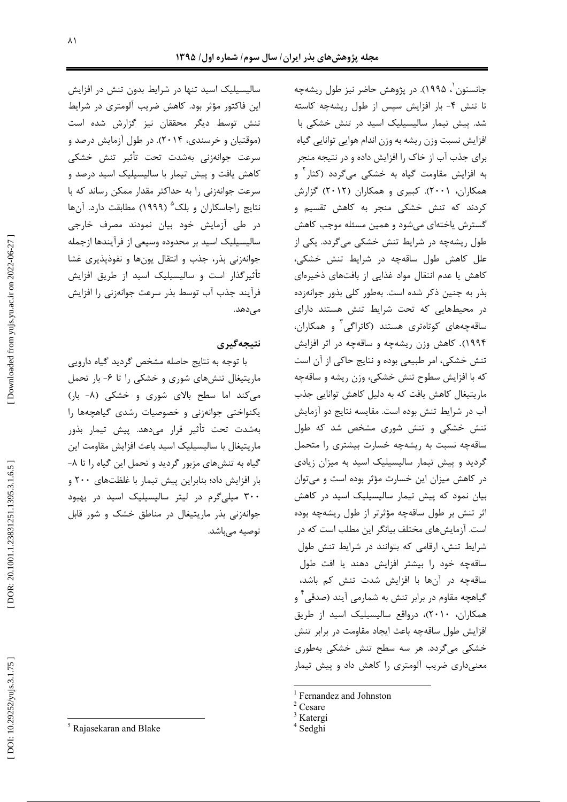سالیسیلیک اسید تنها در شرایط بدون تنش در افزایش این فاکتور مؤثر بود. کاهش ضریب آلومتری در شرایط تنش توسط دیگر محققان نیز گزارش شده است (موقتیان و خرسندی، ۲۰۱۴). در طول آزمایش درصد و سرعت جوانەزنى بەشدت تحت تأثير تنش خشكى کاهش یافت و پیش تیمار با سالیسیلیک اسید درصد و سرعت جوانهزنی را به حداکثر مقدار ممکن رساند که با نتايج راجاسكاران و بلک<sup>۵</sup> (۱۹۹۹) مطابقت دارد. آنها در طی آزمایش خود بیان نمودند مصرف خارجی سالیسیلیک اسید بر محدوده وسیعی از فرآیندها ازجمله جوانهزنی بذر، جذب و انتقال یونها و نفوذپذیری غشا تأثیر گذار است و سالیسیلیک اسید از طریق افزایش فرآيند جذب آب توسط بذر سرعت جوانهزني را افزايش مى،دھد.

### نتيجەگيرى

با توجه به نتايج حاصله مشخص گرديد گياه دارويي ماریتیغال تنشهای شوری و خشکی را تا ۶- بار تحمل می کند اما سطح بالای شوری و خشکی (۸- بار) یکنواختی جوانهزنی و خصوصیات رشدی گیاهچهها را بهشدت تحت تأثير قرار مىدهد. پيش تيمار بذور ماريتيغال با ساليسيليک اسيد باعث افزايش مقاومت اين گیاه به تنشهای مزبور گردید و تحمل این گیاه را تا ۸− بار افزایش داد؛ بنابراین پیش تیمار با غلظتهای ۲۰۰ و ۳۰۰ میلیگرم در لیتر سالیسیلیک اسید در بهبود جوانهزنی بذر ماریتیغال در مناطق خشک و شور قابل توصيه مي باشد.

جانستون`، ۱۹۹۵). در پژوهش حاضر نیز طول ریشهچه تا تنش ۴- بار افزایش سپس از طول ریشهچه کاسته شد. پیش تیمار سالیسیلیک اسید در تنش خشکی با افزایش نسبت وزن ریشه به وزن اندام هوایی توانایی گیاه برای جذب آب از خاک را افزایش داده و در نتیجه منجر به افزایش مقاومت گیاه به خشکی میگردد (کثار<sup>۲</sup> و همکاران، ۲۰۰۱). کبیری و همکاران (۲۰۱۲) گزارش کردند که تنش خشکی منجر به کاهش تقسیم و گسترش یاختهای می شود و همین مسئله موجب کاهش طول ریشهچه در شرایط تنش خشکی میگردد. یکی از علل کاهش طول ساقهچه در شرایط تنش خشکی، کاهش یا عدم انتقال مواد غذایی از بافتهای ذخیرهای بذر به جنین ذکر شده است. بهطور کلی بذور جوانهزده در محیطهایی که تحت شرایط تنش هستند دارای ساقەچەھای كوتاەترى ھستند (كاتراگى<sup>۲</sup> و ھمكاران، ۱۹۹۴). کاهش وزن ریشهچه و ساقهچه در اثر افزایش تنش خشکی، امر طبیعی بوده و نتایج حاکی از آن است که با افزایش سطوح تنش خشکی، وزن ریشه و ساقهچه ماریتیغال کاهش یافت که به دلیل کاهش توانایی جذب آب در شرایط تنش بوده است. مقایسه نتایج دو آزمایش تنش خشکی و تنش شوری مشخص شد که طول ساقهچه نسبت به ریشهچه خسارت بیشتری را متحمل گردید و پیش تیمار سالیسیلیک اسید به میزان زیادی در کاهش میزان این خسارت مؤثر بوده است و می توان بیان نمود که پیش تیمار سالیسیلیک اسید در کاهش اثر تنش بر طول ساقهچه مؤثرتر از طول ریشهچه بوده است. آزمایشهای مختلف بیانگر این مطلب است که در شرایط تنش، ارقامی که بتوانند در شرایط تنش طول ساقهچه خود را بیشتر افزایش دهند یا افت طول ساقهچه در آنها با افزایش شدت تنش کم باشد، گیاهچه مقاوم در برابر تنش به شمارمی آیند (صدقی ٔ و همکاران، ۲۰۱۰)، درواقع سالیسیلیک اسید از طریق افزایش طول ساقهچه باعث ایجاد مقاومت در برابر تنش خشکی میگردد. هر سه سطح تنش خشکی بهطوری معنیداری ضریب آلومتری را کاهش داد و پیش تیمار

<sup>&</sup>lt;sup>5</sup> Rajasekaran and Blake

Fernandez and Johnston

 $2$  Cesare

<sup>&</sup>lt;sup>3</sup> Katergi

<sup>&</sup>lt;sup>4</sup> Sedghi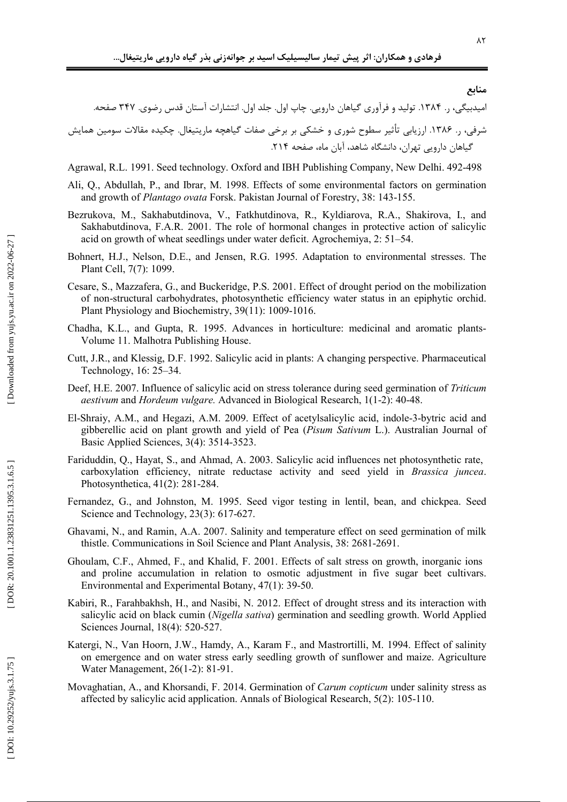منابع

شرفی، ٫. ۱۳۸۶. ارزیابی تأثیر سطوح شوری و خشکی بر برخی صفات گیاهچه ماریتیغال. چکیده مقالات سومین همایش گیاهان دارویی تهران، دانشگاه شاهد، آبان ماه، صفحه ۲۱۴.

Agrawal, R.L. 1991. Seed technology. Oxford and IBH Publishing Company, New Delhi. 492-498

- Ali, Q., Abdullah, P., and Ibrar, M. 1998. Effects of some environmental factors on germination and growth of Plantago ovata Forsk. Pakistan Journal of Forestry, 38: 143-155.
- Bezrukova, M., Sakhabutdinova, V., Fatkhutdinova, R., Kyldiarova, R.A., Shakirova, I., and Sakhabutdinova, F.A.R. 2001. The role of hormonal changes in protective action of salicylic acid on growth of wheat seedlings under water deficit. Agrochemiya, 2: 51–54.
- Bohnert, H.J., Nelson, D.E., and Jensen, R.G. 1995. Adaptation to environmental stresses. The Plant Cell, 7(7): 1099.
- Cesare, S., Mazzafera, G., and Buckeridge, P.S. 2001. Effect of drought period on the mobilization of non-structural carbohydrates, photosynthetic efficiency water status in an epiphytic orchid. Plant Physiology and Biochemistry, 39(11): 1009-1016.
- Chadha, K.L., and Gupta, R. 1995. Advances in horticulture: medicinal and aromatic plants-Volume 11. Malhotra Publishing House.
- Cutt, J.R., and Klessig, D.F. 1992. Salicylic acid in plants: A changing perspective. Pharmaceutical Technology, 16: 25–34.
- Deef, H.E. 2007. Influence of salicylic acid on stress tolerance during seed germination of Triticum aestivum and Hordeum vulgare. Advanced in Biological Research, 1(1-2): 40-48.
- El-Shraiy, A.M., and Hegazi, A.M. 2009. Effect of acetylsalicylic acid, indole-3-bytric acid and gibberellic acid on plant growth and yield of Pea (Pisum Sativum L.). Australian Journal of Basic Applied Sciences, 3(4): 3514-3523.
- Fariduddin, Q., Hayat, S., and Ahmad, A. 2003. Salicylic acid influences net photosynthetic rate, carboxylation efficiency, nitrate reductase activity and seed yield in Brassica juncea. Photosynthetica, 41(2): 281-284.
- Fernandez, G., and Johnston, M. 1995. Seed vigor testing in lentil, bean, and chickpea. Seed Science and Technology,  $23(3)$ : 617-627.
- Ghavami, N., and Ramin, A.A. 2007. Salinity and temperature effect on seed germination of milk thistle. Communications in Soil Science and Plant Analysis, 38: 2681-2691.
- Ghoulam, C.F., Ahmed, F., and Khalid, F. 2001. Effects of salt stress on growth, inorganic ions and proline accumulation in relation to osmotic adjustment in five sugar beet cultivars. Environmental and Experimental Botany, 47(1): 39-50.
- Kabiri, R., Farahbakhsh, H., and Nasibi, N. 2012. Effect of drought stress and its interaction with salicylic acid on black cumin (Nigella sativa) germination and seedling growth. World Applied Sciences Journal, 18(4): 520-527.
- Katergi, N., Van Hoorn, J.W., Hamdy, A., Karam F., and Mastrortilli, M. 1994. Effect of salinity on emergence and on water stress early seedling growth of sunflower and maize. Agriculture Water Management, 26(1-2): 81-91.
- Movaghatian, A., and Khorsandi, F. 2014. Germination of *Carum copticum* under salinity stress as affected by salicylic acid application. Annals of Biological Research, 5(2): 105-110.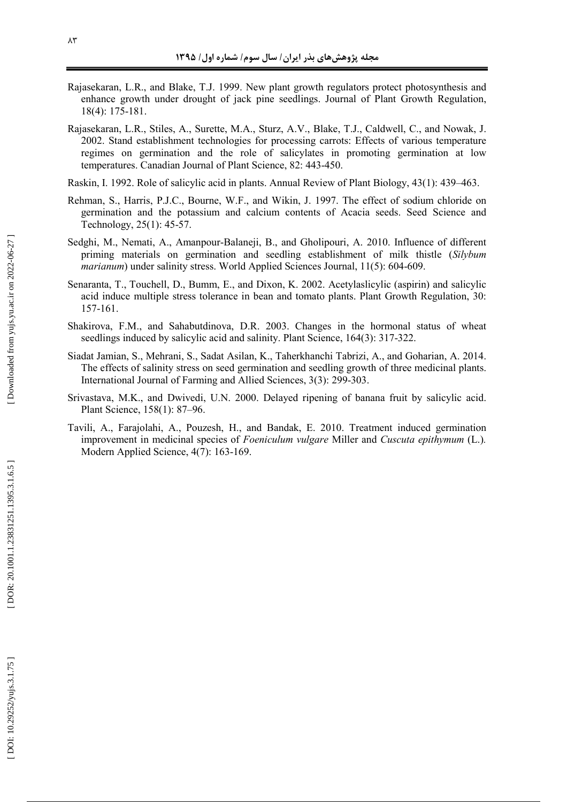- Rajasekaran, L.R., and Blake, T.J. 1999. New plant growth regulators protect photosynthesis and enhance growth under drought of jack pine seedlings. Journal of Plant Growth Regulation, 18(4): 175-181.
- Rajasekaran, L.R., Stiles, A., Surette, M.A., Sturz, A.V., Blake, T.J., Caldwell, C., and Nowak, J. 2002. Stand establishment technologies for processing carrots: Effects of various temperature regimes on germination and the role of salicylates in promoting germination at low temperatures. Canadian Journal of Plant Science, 82: 443-450.

Raskin, I. 1992. Role of salicylic acid in plants. Annual Review of Plant Biology, 43(1): 439–463.

- Rehman, S., Harris, P.J.C., Bourne, W.F., and Wikin, J. 1997. The effect of sodium chloride on germination and the potassium and calcium contents of Acacia seeds. Seed Science and Technology, 25(1): 45-57.
- Sedghi, M., Nemati, A., Amanpour-Balaneji, B., and Gholipouri, A. 2010. Influence of different priming materials on germination and seedling establishment of milk thistle (*Silybum*  marianum) under salinity stress. World Applied Sciences Journal, 11(5): 604-609.
- Senaranta, T., Touchell, D., Bumm, E., and Dixon, K. 2002. Acetylaslicylic (aspirin) and salicylic acid induce multiple stress tolerance in bean and tomato plants. Plant Growth Regulation, 30: 157-161.
- Shakirova, F.M., and Sahabutdinova, D.R. 2003. Changes in the hormonal status of wheat seedlings induced by salicylic acid and salinity. Plant Science, 164(3): 317-322.
- Siadat Jamian, S., Mehrani, S., Sadat Asilan, K., Taherkhanchi Tabrizi, A., and Goharian, A. 2014. The effects of salinity stress on seed germination and seedling growth of three medicinal plants. International Journal of Farming and Allied Sciences, 3(3): 299-303.
- Srivastava, M.K., and Dwivedi, U.N. 2000. Delayed ripening of banana fruit by salicylic acid. Plant Science, 158(1): 87–96.
- Tavili, A., Farajolahi, A., Pouzesh, H., and Bandak, E. 2010. Treatment induced germination improvement in medicinal species of *Foeniculum vulgare* Miller and *Cuscuta epithymum* (L.) *.* Modern Applied Science, 4(7): 163-169.